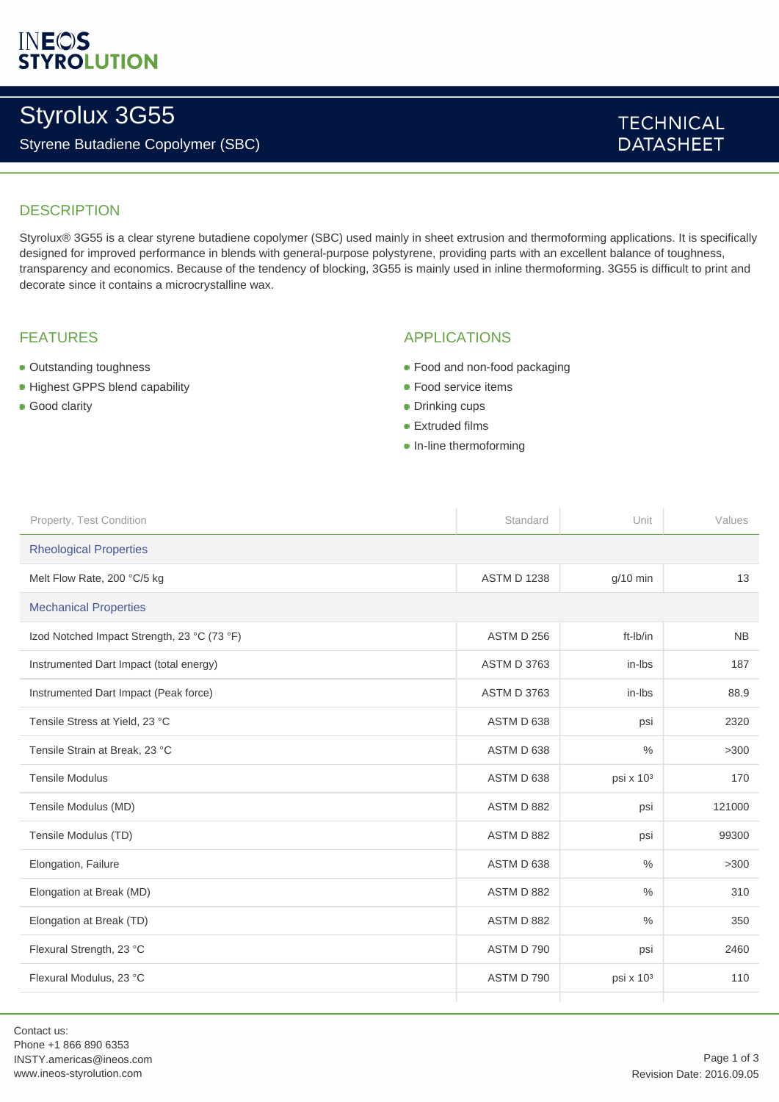# **INEOS**<br>STYROLUTION

# Styrolux 3G55

### Styrene Butadiene Copolymer (SBC)

### **TECHNICAL DATASHEET**

### **DESCRIPTION**

Styrolux® 3G55 is a clear styrene butadiene copolymer (SBC) used mainly in sheet extrusion and thermoforming applications. It is specifically designed for improved performance in blends with general-purpose polystyrene, providing parts with an excellent balance of toughness, transparency and economics. Because of the tendency of blocking, 3G55 is mainly used in inline thermoforming. 3G55 is difficult to print and decorate since it contains a microcrystalline wax.

### FEATURES

- Outstanding toughness
- Highest GPPS blend capability
- **Good clarity**

#### APPLICATIONS

- Food and non-food packaging
- **Food service items**
- **Drinking cups**
- **Extruded films**
- In-line thermoforming

| Property, Test Condition                    | Standard           | Unit                  | Values    |  |
|---------------------------------------------|--------------------|-----------------------|-----------|--|
| <b>Rheological Properties</b>               |                    |                       |           |  |
| Melt Flow Rate, 200 °C/5 kg                 | <b>ASTM D 1238</b> | $g/10$ min            | 13        |  |
| <b>Mechanical Properties</b>                |                    |                       |           |  |
| Izod Notched Impact Strength, 23 °C (73 °F) | ASTM D 256         | ft-Ib/in              | <b>NB</b> |  |
| Instrumented Dart Impact (total energy)     | <b>ASTM D 3763</b> | in-lbs                | 187       |  |
| Instrumented Dart Impact (Peak force)       | <b>ASTM D 3763</b> | in-lbs                | 88.9      |  |
| Tensile Stress at Yield, 23 °C              | ASTM D 638         | psi                   | 2320      |  |
| Tensile Strain at Break, 23 °C              | ASTM D 638         | $\frac{0}{0}$         | >300      |  |
| <b>Tensile Modulus</b>                      | ASTM D 638         | psi x 10 <sup>3</sup> | 170       |  |
| Tensile Modulus (MD)                        | ASTM D 882         | psi                   | 121000    |  |
| Tensile Modulus (TD)                        | ASTM D 882         | psi                   | 99300     |  |
| Elongation, Failure                         | ASTM D 638         | $\%$                  | >300      |  |
| Elongation at Break (MD)                    | ASTM D 882         | $\frac{0}{0}$         | 310       |  |
| Elongation at Break (TD)                    | ASTM D 882         | $\frac{0}{0}$         | 350       |  |
| Flexural Strength, 23 °C                    | ASTM D 790         | psi                   | 2460      |  |
| Flexural Modulus, 23 °C                     | ASTM D 790         | psi x 10 <sup>3</sup> | 110       |  |
|                                             |                    |                       |           |  |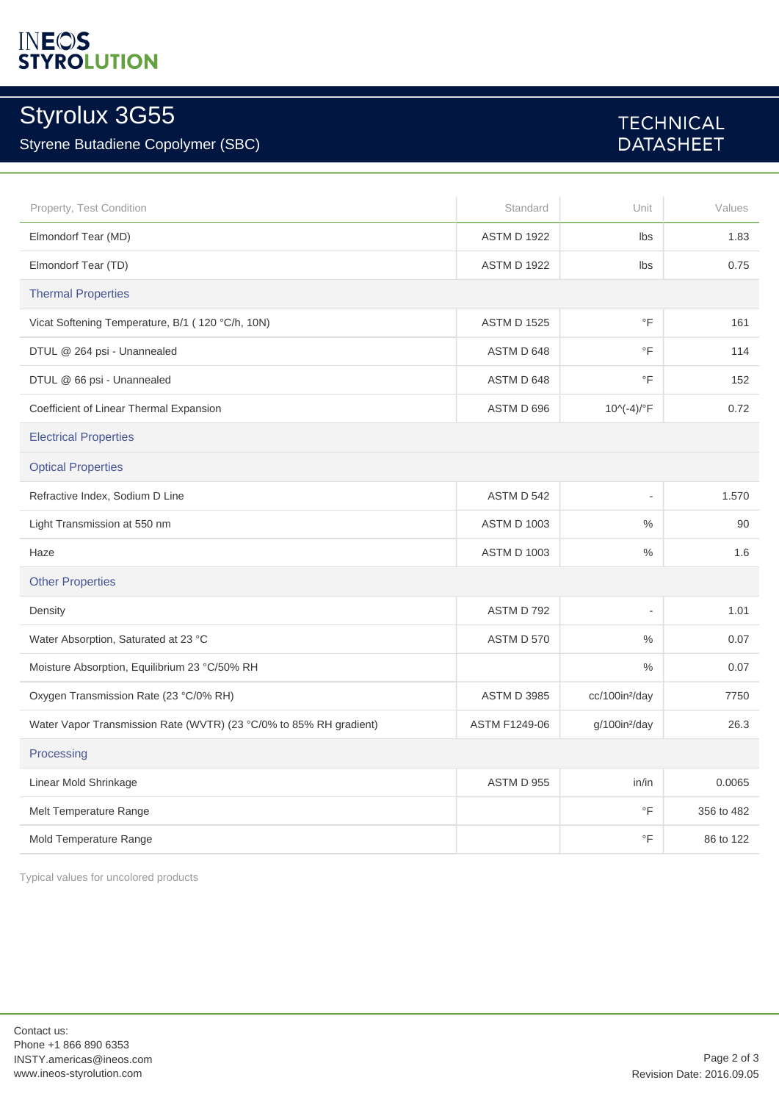# **INEOS**<br>STYROLUTION

## Styrolux 3G55

### Styrene Butadiene Copolymer (SBC)

### **TECHNICAL DATASHEET**

| Property, Test Condition                                           | Standard           | Unit                       | Values     |  |
|--------------------------------------------------------------------|--------------------|----------------------------|------------|--|
| Elmondorf Tear (MD)                                                | <b>ASTM D 1922</b> | lbs                        | 1.83       |  |
| Elmondorf Tear (TD)                                                | <b>ASTM D 1922</b> | Ibs                        | 0.75       |  |
| <b>Thermal Properties</b>                                          |                    |                            |            |  |
| Vicat Softening Temperature, B/1 (120 °C/h, 10N)                   | <b>ASTM D 1525</b> | $\overline{F}$             | 161        |  |
| DTUL @ 264 psi - Unannealed                                        | ASTM D 648         | $\circ$ F                  | 114        |  |
| DTUL @ 66 psi - Unannealed                                         | ASTM D 648         | $\circ$ F                  | 152        |  |
| Coefficient of Linear Thermal Expansion                            | ASTM D 696         | $10^{(-4)/^{\circ}F}$      | 0.72       |  |
| <b>Electrical Properties</b>                                       |                    |                            |            |  |
| <b>Optical Properties</b>                                          |                    |                            |            |  |
| Refractive Index, Sodium D Line                                    | ASTM D 542         | $\overline{\phantom{a}}$   | 1.570      |  |
| Light Transmission at 550 nm                                       | <b>ASTM D 1003</b> | $\%$                       | 90         |  |
| Haze                                                               | <b>ASTM D 1003</b> | $\%$                       | 1.6        |  |
| <b>Other Properties</b>                                            |                    |                            |            |  |
| Density                                                            | ASTM D 792         | ÷,                         | 1.01       |  |
| Water Absorption, Saturated at 23 °C                               | ASTM D 570         | $\%$                       | 0.07       |  |
| Moisture Absorption, Equilibrium 23 °C/50% RH                      |                    | $\frac{0}{0}$              | 0.07       |  |
| Oxygen Transmission Rate (23 °C/0% RH)                             | <b>ASTM D 3985</b> | cc/100in <sup>2</sup> /day | 7750       |  |
| Water Vapor Transmission Rate (WVTR) (23 °C/0% to 85% RH gradient) | ASTM F1249-06      | g/100in <sup>2</sup> /day  | 26.3       |  |
| Processing                                                         |                    |                            |            |  |
| Linear Mold Shrinkage                                              | <b>ASTM D 955</b>  | in/in                      | 0.0065     |  |
| Melt Temperature Range                                             |                    | $\circ$ F                  | 356 to 482 |  |
| Mold Temperature Range                                             |                    | $\overline{F}$             | 86 to 122  |  |

Typical values for uncolored products